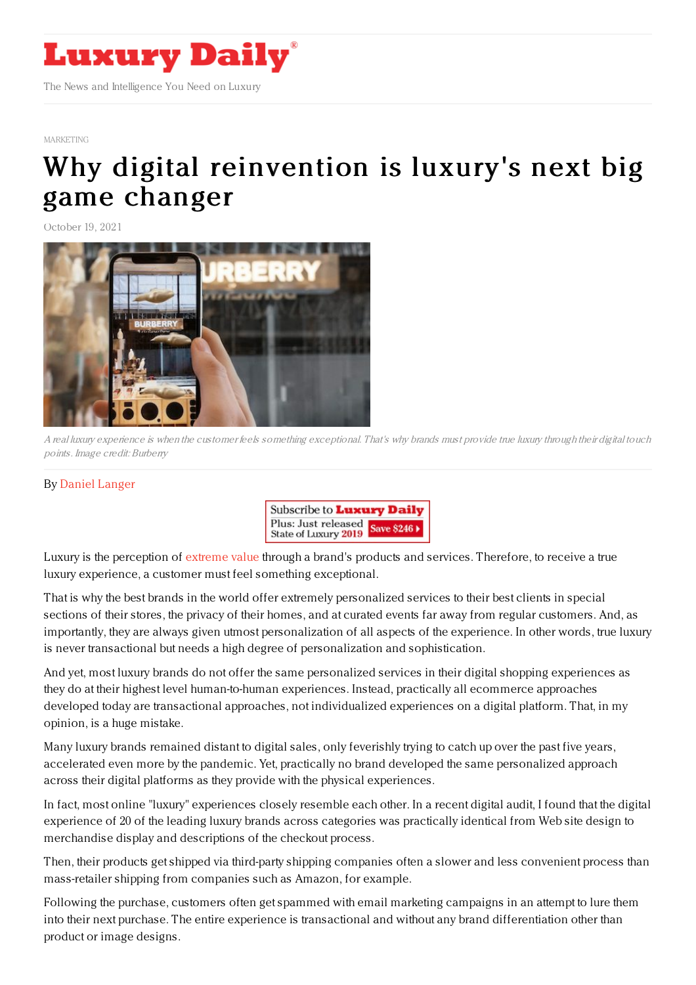

## [MARKETING](https://www.luxurydaily.com/category/sectors/marketing-industry-sectors/)

## Why digital [reinvention](https://www.luxurydaily.com/why-digital-reinvention-is-luxurys-next-big-game-changer/) is luxury's next big game changer

October 19, 2021



A real luxury experience is when the customer feels something exceptional. That's why brands must provide true luxury through their digital touch points. Image credit: Burberry

## By Daniel [Langer](https://jingdaily.com/author/daniel-langer/)



Luxury is the perception of [extreme](https://jingdaily.com/luxury-fashion-brands-value-drivers-bentley-swatch/) value through a brand's products and services. Therefore, to receive a true luxury experience, a customer must feel something exceptional.

That is why the best brands in the world offer extremely personalized services to their best clients in special sections of their stores, the privacy of their homes, and at curated events far away from regular customers. And, as importantly, they are always given utmost personalization of all aspects of the experience. In other words, true luxury is never transactional but needs a high degree of personalization and sophistication.

And yet, most luxury brands do not offer the same personalized services in their digital shopping experiences as they do at their highest level human-to-human experiences. Instead, practically all ecommerce approaches developed today are transactional approaches, not individualized experiences on a digital platform. That, in my opinion, is a huge mistake.

Many luxury brands remained distant to digital sales, only feverishly trying to catch up over the past five years, accelerated even more by the pandemic. Yet, practically no brand developed the same personalized approach across their digital platforms as they provide with the physical experiences.

In fact, most online "luxury" experiences closely resemble each other. In a recent digital audit, I found that the digital experience of 20 of the leading luxury brands across categories was practically identical from Web site design to merchandise display and descriptions of the checkout process.

Then, their products get shipped via third-party shipping companies often a slower and less convenient process than mass-retailer shipping from companies such as Amazon, for example.

Following the purchase, customers often get spammed with email marketing campaigns in an attempt to lure them into their next purchase. The entire experience is transactional and without any brand differentiation other than product or image designs.